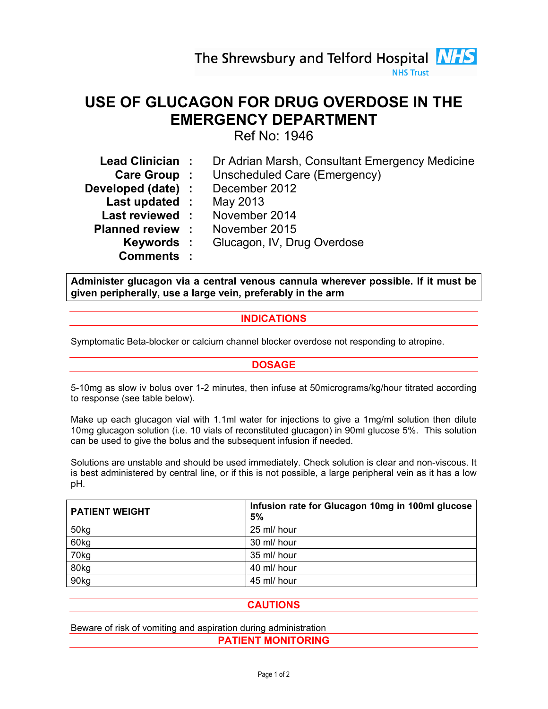The Shrewsbury and Telford Hospital **NHS** 

**NHS Trust** 

# USE OF GLUCAGON FOR DRUG OVERDOSE IN THE EMERGENCY DEPARTMENT

Ref No: 1946

| Lead Clinician:         | Dr Adrian Marsh, Consultant Emergency Medicine |
|-------------------------|------------------------------------------------|
| Care Group :            | Unscheduled Care (Emergency)                   |
| Developed (date) :      | December 2012                                  |
| Last updated :          | May 2013                                       |
| Last reviewed:          | November 2014                                  |
| <b>Planned review :</b> | November 2015                                  |
| Keywords :              | Glucagon, IV, Drug Overdose                    |
| <b>Comments:</b>        |                                                |

Administer glucagon via a central venous cannula wherever possible. If it must be given peripherally, use a large vein, preferably in the arm

## INDICATIONS

Symptomatic Beta-blocker or calcium channel blocker overdose not responding to atropine.

## DOSAGE

5-10mg as slow iv bolus over 1-2 minutes, then infuse at 50micrograms/kg/hour titrated according to response (see table below).

Make up each glucagon vial with 1.1ml water for injections to give a 1mg/ml solution then dilute 10mg glucagon solution (i.e. 10 vials of reconstituted glucagon) in 90ml glucose 5%. This solution can be used to give the bolus and the subsequent infusion if needed.

Solutions are unstable and should be used immediately. Check solution is clear and non-viscous. It is best administered by central line, or if this is not possible, a large peripheral vein as it has a low pH.

| <b>PATIENT WEIGHT</b> | Infusion rate for Glucagon 10mg in 100ml glucose<br>5% |
|-----------------------|--------------------------------------------------------|
| 50kg                  | 25 ml/ hour                                            |
| 60kg                  | 30 ml/ hour                                            |
| 70kg                  | 35 ml/ hour                                            |
| 80kg                  | 40 ml/ hour                                            |
| 90kg                  | 45 ml/ hour                                            |

## **CAUTIONS**

Beware of risk of vomiting and aspiration during administration PATIENT MONITORING